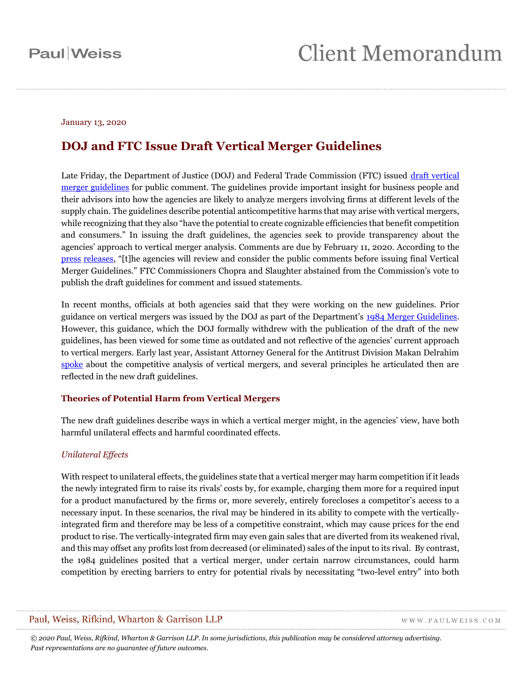#### January 13, 2020

## **DOJ and FTC Issue Draft Vertical Merger Guidelines**

Late Friday, the Department of Justice (DOJ) and Federal Trade Commission (FTC) issued draft vertical [merger guidelines](https://www.justice.gov/opa/press-release/file/1233741/download) for public comment. The guidelines provide important insight for business people and their advisors into how the agencies are likely to analyze mergers involving firms at different levels of the supply chain. The guidelines describe potential anticompetitive harms that may arise with vertical mergers, while recognizing that they also "have the potential to create cognizable efficiencies that benefit competition and consumers." In issuing the draft guidelines, the agencies seek to provide transparency about the agencies' approach to vertical merger analysis. Comments are due by February 11, 2020. According to the [press](https://www.justice.gov/opa/pr/doj-and-ftc-announce-draft-vertical-merger-guidelines-public-comment) [releases,](https://www.ftc.gov/news-events/press-releases/2020/01/ftc-doj-announce-draft-vertical-merger-guidelines-public-comment) "[t]he agencies will review and consider the public comments before issuing final Vertical Merger Guidelines." FTC Commissioners Chopra and Slaughter abstained from the Commission's vote to publish the draft guidelines for comment and issued statements.

In recent months, officials at both agencies said that they were working on the new guidelines. Prior guidance on vertical mergers was issued by the DOJ as part of the Department's [1984 Merger Guidelines.](https://www.justice.gov/sites/default/files/atr/legacy/2007/07/11/11249.pdf) However, this guidance, which the DOJ formally withdrew with the publication of the draft of the new guidelines, has been viewed for some time as outdated and not reflective of the agencies' current approach to vertical mergers. Early last year, Assistant Attorney General for the Antitrust Division Makan Delrahim [spoke](https://www.justice.gov/opa/speech/file/1132831/download) about the competitive analysis of vertical mergers, and several principles he articulated then are reflected in the new draft guidelines.

### **Theories of Potential Harm from Vertical Mergers**

The new draft guidelines describe ways in which a vertical merger might, in the agencies' view, have both harmful unilateral effects and harmful coordinated effects.

### *Unilateral Effects*

With respect to unilateral effects, the guidelines state that a vertical merger may harm competition if it leads the newly integrated firm to raise its rivals' costs by, for example, charging them more for a required input for a product manufactured by the firms or, more severely, entirely forecloses a competitor's access to a necessary input. In these scenarios, the rival may be hindered in its ability to compete with the verticallyintegrated firm and therefore may be less of a competitive constraint, which may cause prices for the end product to rise. The vertically-integrated firm may even gain sales that are diverted from its weakened rival, and this may offset any profits lost from decreased (or eliminated) sales of the input to its rival. By contrast, the 1984 guidelines posited that a vertical merger, under certain narrow circumstances, could harm competition by erecting barriers to entry for potential rivals by necessitating "two-level entry" into both

### Paul, Weiss, Rifkind, Wharton & Garrison LLP

WWW.PAULWEISS.COM

*© 2020 Paul, Weiss, Rifkind, Wharton & Garrison LLP. In some jurisdictions, this publication may be considered attorney advertising. Past representations are no guarantee of future outcomes.*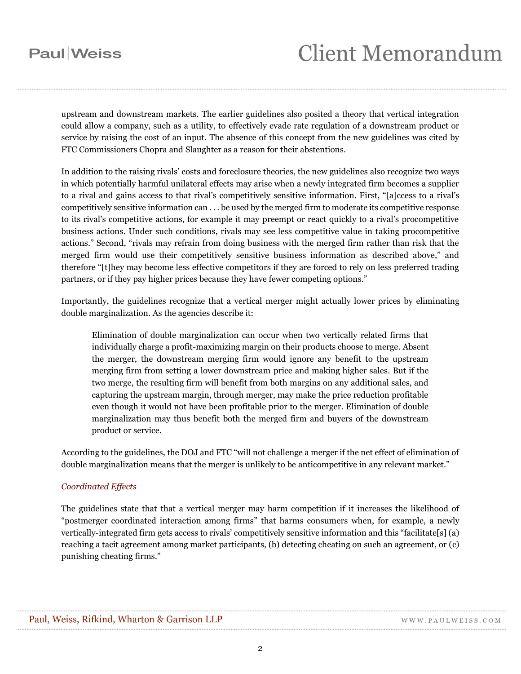## **Paul** Weiss

upstream and downstream markets. The earlier guidelines also posited a theory that vertical integration could allow a company, such as a utility, to effectively evade rate regulation of a downstream product or service by raising the cost of an input. The absence of this concept from the new guidelines was cited by FTC Commissioners Chopra and Slaughter as a reason for their abstentions.

In addition to the raising rivals' costs and foreclosure theories, the new guidelines also recognize two ways in which potentially harmful unilateral effects may arise when a newly integrated firm becomes a supplier to a rival and gains access to that rival's competitively sensitive information. First, "[a]ccess to a rival's competitively sensitive information can . . . be used by the merged firm to moderate its competitive response to its rival's competitive actions, for example it may preempt or react quickly to a rival's procompetitive business actions. Under such conditions, rivals may see less competitive value in taking procompetitive actions." Second, "rivals may refrain from doing business with the merged firm rather than risk that the merged firm would use their competitively sensitive business information as described above," and therefore "[t]hey may become less effective competitors if they are forced to rely on less preferred trading partners, or if they pay higher prices because they have fewer competing options."

Importantly, the guidelines recognize that a vertical merger might actually lower prices by eliminating double marginalization. As the agencies describe it:

Elimination of double marginalization can occur when two vertically related firms that individually charge a profit-maximizing margin on their products choose to merge. Absent the merger, the downstream merging firm would ignore any benefit to the upstream merging firm from setting a lower downstream price and making higher sales. But if the two merge, the resulting firm will benefit from both margins on any additional sales, and capturing the upstream margin, through merger, may make the price reduction profitable even though it would not have been profitable prior to the merger. Elimination of double marginalization may thus benefit both the merged firm and buyers of the downstream product or service.

According to the guidelines, the DOJ and FTC "will not challenge a merger if the net effect of elimination of double marginalization means that the merger is unlikely to be anticompetitive in any relevant market."

#### *Coordinated Effects*

The guidelines state that that a vertical merger may harm competition if it increases the likelihood of "postmerger coordinated interaction among firms" that harms consumers when, for example, a newly vertically-integrated firm gets access to rivals' competitively sensitive information and this "facilitate[s] (a) reaching a tacit agreement among market participants, (b) detecting cheating on such an agreement, or (c) punishing cheating firms."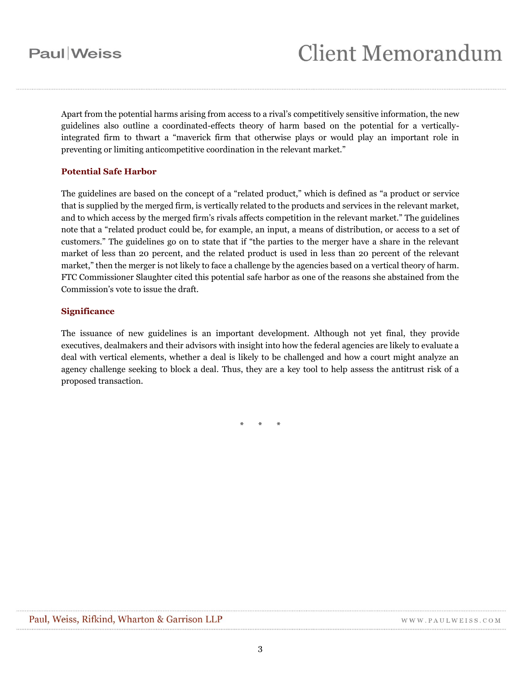Apart from the potential harms arising from access to a rival's competitively sensitive information, the new guidelines also outline a coordinated-effects theory of harm based on the potential for a verticallyintegrated firm to thwart a "maverick firm that otherwise plays or would play an important role in preventing or limiting anticompetitive coordination in the relevant market."

#### **Potential Safe Harbor**

The guidelines are based on the concept of a "related product," which is defined as "a product or service that is supplied by the merged firm, is vertically related to the products and services in the relevant market, and to which access by the merged firm's rivals affects competition in the relevant market." The guidelines note that a "related product could be, for example, an input, a means of distribution, or access to a set of customers." The guidelines go on to state that if "the parties to the merger have a share in the relevant market of less than 20 percent, and the related product is used in less than 20 percent of the relevant market," then the merger is not likely to face a challenge by the agencies based on a vertical theory of harm. FTC Commissioner Slaughter cited this potential safe harbor as one of the reasons she abstained from the Commission's vote to issue the draft.

#### **Significance**

The issuance of new guidelines is an important development. Although not yet final, they provide executives, dealmakers and their advisors with insight into how the federal agencies are likely to evaluate a deal with vertical elements, whether a deal is likely to be challenged and how a court might analyze an agency challenge seeking to block a deal. Thus, they are a key tool to help assess the antitrust risk of a proposed transaction.

\* \* \*